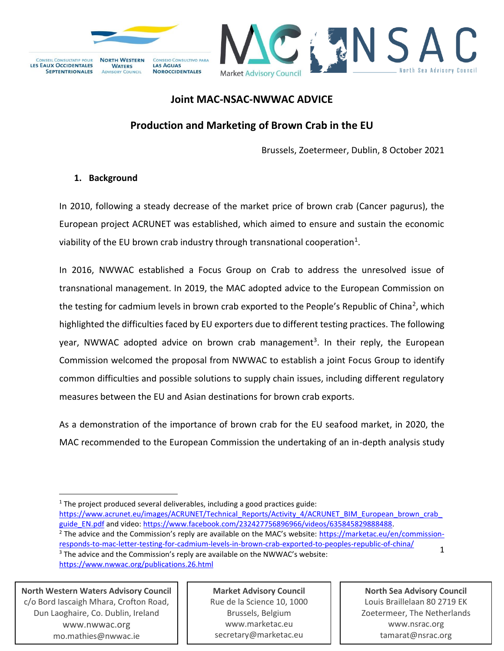



## **Joint MAC-NSAC-NWWAC ADVICE**

# **Production and Marketing of Brown Crab in the EU**

Brussels, Zoetermeer, Dublin, 8 October 2021

## **1. Background**

In 2010, following a steady decrease of the market price of brown crab (Cancer pagurus), the European project ACRUNET was established, which aimed to ensure and sustain the economic viability of the EU brown crab industry through transnational cooperation<sup>1</sup>.

In 2016, NWWAC established a Focus Group on Crab to address the unresolved issue of transnational management. In 2019, the MAC adopted advice to the European Commission on the testing for cadmium levels in brown crab exported to the People's Republic of China<sup>2</sup>, which highlighted the difficulties faced by EU exporters due to different testing practices. The following year, NWWAC adopted advice on brown crab management<sup>3</sup>. In their reply, the European Commission welcomed the proposal from NWWAC to establish a joint Focus Group to identify common difficulties and possible solutions to supply chain issues, including different regulatory measures between the EU and Asian destinations for brown crab exports.

As a demonstration of the importance of brown crab for the EU seafood market, in 2020, the MAC recommended to the European Commission the undertaking of an in-depth analysis study

 $1$  The project produced several deliverables, including a good practices guide:

1 https://www.acrunet.eu/images/ACRUNET/Technical\_Reports/Activity\_4/ACRUNET\_BIM\_European\_brown\_crab [guide\\_EN.pdf](https://www.acrunet.eu/images/ACRUNET/Technical_Reports/Activity_4/ACRUNET_BIM_European_brown_crab_guide_EN.pdf) and video: [https://www.facebook.com/232427756896966/videos/635845829888488.](https://www.facebook.com/232427756896966/videos/635845829888488) <sup>2</sup> The advice and the Commission's reply are available on the MAC's website: [https://marketac.eu/en/commission](https://marketac.eu/en/commission-responds-to-mac-letter-testing-for-cadmium-levels-in-brown-crab-exported-to-peoples-republic-of-china/)[responds-to-mac-letter-testing-for-cadmium-levels-in-brown-crab-exported-to-peoples-republic-of-china/](https://marketac.eu/en/commission-responds-to-mac-letter-testing-for-cadmium-levels-in-brown-crab-exported-to-peoples-republic-of-china/) <sup>3</sup> The advice and the Commission's reply are available on the NWWAC's website:

<https://www.nwwac.org/publications.26.html>

**North Western Waters Advisory Council** c/o Bord Iascaigh Mhara, Crofton Road, Dun Laoghaire, Co. Dublin, Ireland [www.nwwac.org](http://www.nwwac.org/) mo.mathies@nwwac.ie

**Market Advisory Council** Rue de la Science 10, 1000 Brussels, Belgium www.marketac.eu secretary@marketac.eu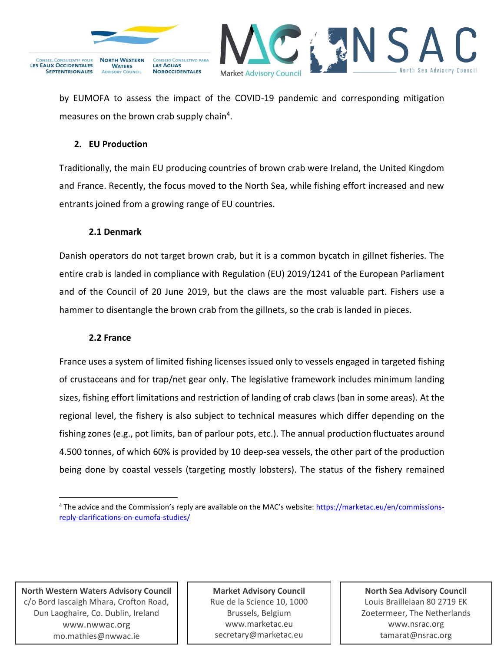



by EUMOFA to assess the impact of the COVID-19 pandemic and corresponding mitigation measures on the brown crab supply chain<sup>4</sup>.

## **2. EU Production**

Traditionally, the main EU producing countries of brown crab were Ireland, the United Kingdom and France. Recently, the focus moved to the North Sea, while fishing effort increased and new entrants joined from a growing range of EU countries.

## **2.1 Denmark**

Danish operators do not target brown crab, but it is a common bycatch in gillnet fisheries. The entire crab is landed in compliance with Regulation (EU) 2019/1241 of the European Parliament and of the Council of 20 June 2019, but the claws are the most valuable part. Fishers use a hammer to disentangle the brown crab from the gillnets, so the crab is landed in pieces.

#### **2.2 France**

France uses a system of limited fishing licenses issued only to vessels engaged in targeted fishing of crustaceans and for trap/net gear only. The legislative framework includes minimum landing sizes, fishing effort limitations and restriction of landing of crab claws (ban in some areas). At the regional level, the fishery is also subject to technical measures which differ depending on the fishing zones (e.g., pot limits, ban of parlour pots, etc.). The annual production fluctuates around 4.500 tonnes, of which 60% is provided by 10 deep-sea vessels, the other part of the production being done by coastal vessels (targeting mostly lobsters). The status of the fishery remained

**North Western Waters Advisory Council** c/o Bord Iascaigh Mhara, Crofton Road, Dun Laoghaire, Co. Dublin, Ireland [www.nwwac.org](http://www.nwwac.org/) mo.mathies@nwwac.ie

**Market Advisory Council** Rue de la Science 10, 1000 Brussels, Belgium www.marketac.eu secretary@marketac.eu

<sup>4</sup> The advice and the Commission's reply are available on the MAC's website: [https://marketac.eu/en/commissions](https://marketac.eu/en/commissions-reply-clarifications-on-eumofa-studies/)[reply-clarifications-on-eumofa-studies/](https://marketac.eu/en/commissions-reply-clarifications-on-eumofa-studies/)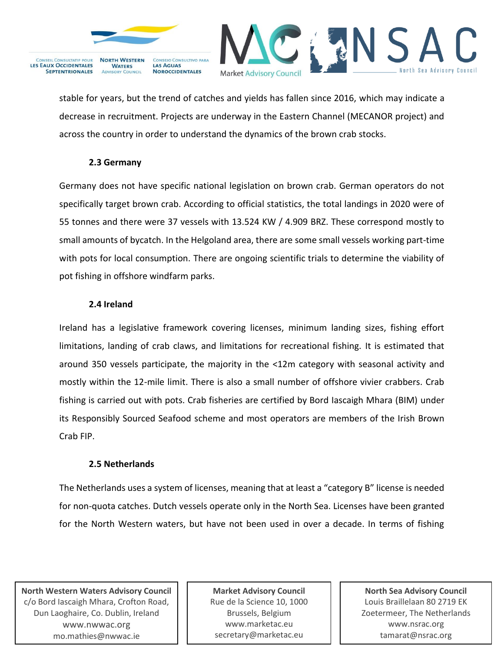

**ADVISORY COUNCIL** 

**NOROCCIDENTALES** 



stable for years, but the trend of catches and yields has fallen since 2016, which may indicate a decrease in recruitment. Projects are underway in the Eastern Channel (MECANOR project) and across the country in order to understand the dynamics of the brown crab stocks.

## **2.3 Germany**

**SEPTENTRIONALES** 

Germany does not have specific national legislation on brown crab. German operators do not specifically target brown crab. According to official statistics, the total landings in 2020 were of 55 tonnes and there were 37 vessels with 13.524 KW / 4.909 BRZ. These correspond mostly to small amounts of bycatch. In the Helgoland area, there are some small vessels working part-time with pots for local consumption. There are ongoing scientific trials to determine the viability of pot fishing in offshore windfarm parks.

## **2.4 Ireland**

Ireland has a legislative framework covering licenses, minimum landing sizes, fishing effort limitations, landing of crab claws, and limitations for recreational fishing. It is estimated that around 350 vessels participate, the majority in the <12m category with seasonal activity and mostly within the 12-mile limit. There is also a small number of offshore vivier crabbers. Crab fishing is carried out with pots. Crab fisheries are certified by Bord Iascaigh Mhara (BIM) under its Responsibly Sourced Seafood scheme and most operators are members of the Irish Brown Crab FIP.

#### **2.5 Netherlands**

The Netherlands uses a system of licenses, meaning that at least a "category B" license is needed for non-quota catches. Dutch vessels operate only in the North Sea. Licenses have been granted for the North Western waters, but have not been used in over a decade. In terms of fishing

**North Western Waters Advisory Council** c/o Bord Iascaigh Mhara, Crofton Road, Dun Laoghaire, Co. Dublin, Ireland [www.nwwac.org](http://www.nwwac.org/) mo.mathies@nwwac.ie

**Market Advisory Council** Rue de la Science 10, 1000 Brussels, Belgium www.marketac.eu secretary@marketac.eu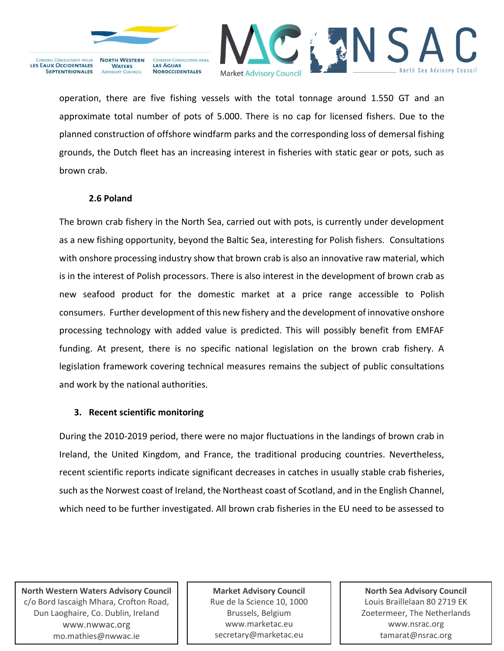

**WATERS** 

**ADVISORY COUNCIL** 

**LAS AGUAS** 

**NOROCCIDENTALES** 



operation, there are five fishing vessels with the total tonnage around 1.550 GT and an approximate total number of pots of 5.000. There is no cap for licensed fishers. Due to the planned construction of offshore windfarm parks and the corresponding loss of demersal fishing grounds, the Dutch fleet has an increasing interest in fisheries with static gear or pots, such as brown crab.

## **2.6 Poland**

**VSEIL CONSULTATIF POUR** 

**SEPTENTRIONALES** 

**LES EAUX OCCIDENTALES** 

The brown crab fishery in the North Sea, carried out with pots, is currently under development as a new fishing opportunity, beyond the Baltic Sea, interesting for Polish fishers. Consultations with onshore processing industry show that brown crab is also an innovative raw material, which is in the interest of Polish processors. There is also interest in the development of brown crab as new seafood product for the domestic market at a price range accessible to Polish consumers. Further development of this new fishery and the development of innovative onshore processing technology with added value is predicted. This will possibly benefit from EMFAF funding. At present, there is no specific national legislation on the brown crab fishery. A legislation framework covering technical measures remains the subject of public consultations and work by the national authorities.

#### **3. Recent scientific monitoring**

During the 2010-2019 period, there were no major fluctuations in the landings of brown crab in Ireland, the United Kingdom, and France, the traditional producing countries. Nevertheless, recent scientific reports indicate significant decreases in catches in usually stable crab fisheries, such as the Norwest coast of Ireland, the Northeast coast of Scotland, and in the English Channel, which need to be further investigated. All brown crab fisheries in the EU need to be assessed to

**North Western Waters Advisory Council** c/o Bord Iascaigh Mhara, Crofton Road, Dun Laoghaire, Co. Dublin, Ireland [www.nwwac.org](http://www.nwwac.org/) mo.mathies@nwwac.ie

**Market Advisory Council** Rue de la Science 10, 1000 Brussels, Belgium www.marketac.eu secretary@marketac.eu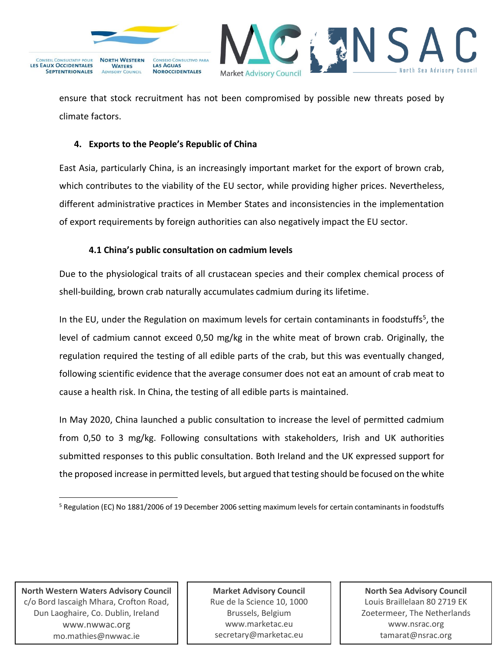



ensure that stock recruitment has not been compromised by possible new threats posed by climate factors.

### **4. Exports to the People's Republic of China**

East Asia, particularly China, is an increasingly important market for the export of brown crab, which contributes to the viability of the EU sector, while providing higher prices. Nevertheless, different administrative practices in Member States and inconsistencies in the implementation of export requirements by foreign authorities can also negatively impact the EU sector.

## **4.1 China's public consultation on cadmium levels**

Due to the physiological traits of all crustacean species and their complex chemical process of shell-building, brown crab naturally accumulates cadmium during its lifetime.

In the EU, under the Regulation on maximum levels for certain contaminants in foodstuffs<sup>5</sup>, the level of cadmium cannot exceed 0,50 mg/kg in the white meat of brown crab. Originally, the regulation required the testing of all edible parts of the crab, but this was eventually changed, following scientific evidence that the average consumer does not eat an amount of crab meat to cause a health risk. In China, the testing of all edible parts is maintained.

In May 2020, China launched a public consultation to increase the level of permitted cadmium from 0,50 to 3 mg/kg. Following consultations with stakeholders, Irish and UK authorities submitted responses to this public consultation. Both Ireland and the UK expressed support for the proposed increase in permitted levels, but argued that testing should be focused on the white

**North Western Waters Advisory Council** c/o Bord Iascaigh Mhara, Crofton Road, Dun Laoghaire, Co. Dublin, Ireland [www.nwwac.org](http://www.nwwac.org/) mo.mathies@nwwac.ie

**Market Advisory Council** Rue de la Science 10, 1000 Brussels, Belgium www.marketac.eu secretary@marketac.eu

<sup>5</sup> Regulation (EC) No 1881/2006 of 19 December 2006 setting maximum levels for certain contaminants in foodstuffs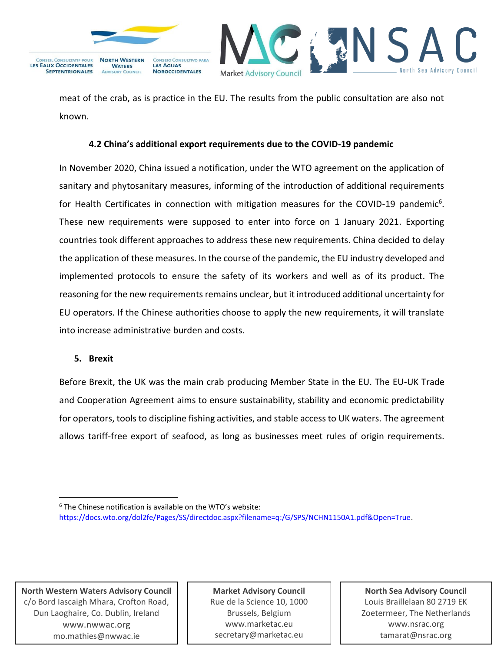



meat of the crab, as is practice in the EU. The results from the public consultation are also not known.

#### **4.2 China's additional export requirements due to the COVID-19 pandemic**

In November 2020, China issued a notification, under the WTO agreement on the application of sanitary and phytosanitary measures, informing of the introduction of additional requirements for Health Certificates in connection with mitigation measures for the COVID-19 pandemic<sup>6</sup>. These new requirements were supposed to enter into force on 1 January 2021. Exporting countries took different approaches to address these new requirements. China decided to delay the application of these measures. In the course of the pandemic, the EU industry developed and implemented protocols to ensure the safety of its workers and well as of its product. The reasoning for the new requirements remains unclear, but it introduced additional uncertainty for EU operators. If the Chinese authorities choose to apply the new requirements, it will translate into increase administrative burden and costs.

#### **5. Brexit**

Before Brexit, the UK was the main crab producing Member State in the EU. The EU-UK Trade and Cooperation Agreement aims to ensure sustainability, stability and economic predictability for operators, tools to discipline fishing activities, and stable access to UK waters. The agreement allows tariff-free export of seafood, as long as businesses meet rules of origin requirements.

**North Western Waters Advisory Council** c/o Bord Iascaigh Mhara, Crofton Road, Dun Laoghaire, Co. Dublin, Ireland [www.nwwac.org](http://www.nwwac.org/) mo.mathies@nwwac.ie

**Market Advisory Council** Rue de la Science 10, 1000 Brussels, Belgium www.marketac.eu secretary@marketac.eu

<sup>&</sup>lt;sup>6</sup> The Chinese notification is available on the WTO's website: [https://docs.wto.org/dol2fe/Pages/SS/directdoc.aspx?filename=q:/G/SPS/NCHN1150A1.pdf&Open=True.](https://docs.wto.org/dol2fe/Pages/SS/directdoc.aspx?filename=q:/G/SPS/NCHN1150A1.pdf&Open=True)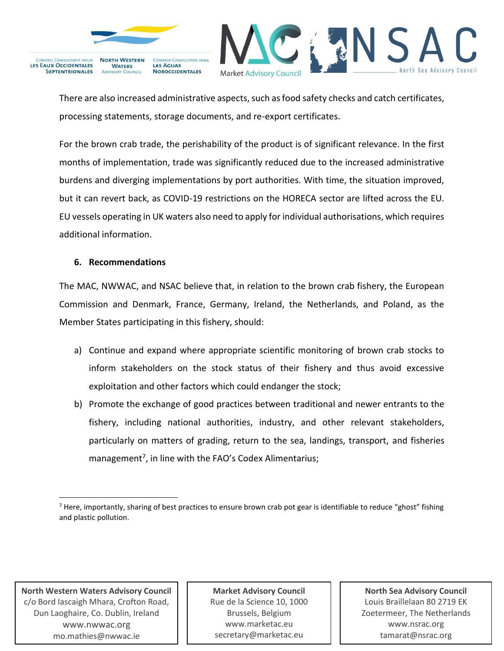

**SEPTENTRIONALES** 

**NOROCCIDENTALES** 



There are also increased administrative aspects, such as food safety checks and catch certificates, processing statements, storage documents, and re-export certificates.

For the brown crab trade, the perishability of the product is of significant relevance. In the first months of implementation, trade was significantly reduced due to the increased administrative burdens and diverging implementations by port authorities. With time, the situation improved, but it can revert back, as COVID-19 restrictions on the HORECA sector are lifted across the EU. EU vessels operating in UK waters also need to apply for individual authorisations, which requires additional information.

#### **6. Recommendations**

The MAC, NWWAC, and NSAC believe that, in relation to the brown crab fishery, the European Commission and Denmark, France, Germany, Ireland, the Netherlands, and Poland, as the Member States participating in this fishery, should:

- a) Continue and expand where appropriate scientific monitoring of brown crab stocks to inform stakeholders on the stock status of their fishery and thus avoid excessive exploitation and other factors which could endanger the stock;
- b) Promote the exchange of good practices between traditional and newer entrants to the fishery, including national authorities, industry, and other relevant stakeholders, particularly on matters of grading, return to the sea, landings, transport, and fisheries management<sup>7</sup>, in line with the FAO's Codex Alimentarius;

**North Western Waters Advisory Council** c/o Bord Iascaigh Mhara, Crofton Road, Dun Laoghaire, Co. Dublin, Ireland [www.nwwac.org](http://www.nwwac.org/) mo.mathies@nwwac.ie

**Market Advisory Council** Rue de la Science 10, 1000 Brussels, Belgium www.marketac.eu secretary@marketac.eu

 $<sup>7</sup>$  Here, importantly, sharing of best practices to ensure brown crab pot gear is identifiable to reduce "ghost" fishing</sup> and plastic pollution.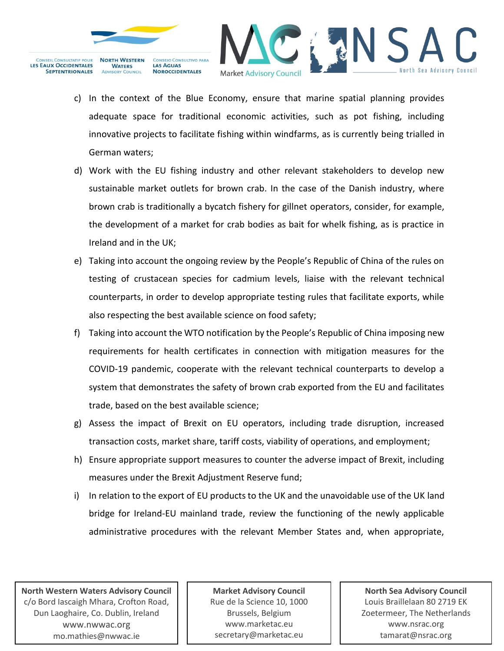



- c) In the context of the Blue Economy, ensure that marine spatial planning provides adequate space for traditional economic activities, such as pot fishing, including innovative projects to facilitate fishing within windfarms, as is currently being trialled in German waters;
- d) Work with the EU fishing industry and other relevant stakeholders to develop new sustainable market outlets for brown crab. In the case of the Danish industry, where brown crab is traditionally a bycatch fishery for gillnet operators, consider, for example, the development of a market for crab bodies as bait for whelk fishing, as is practice in Ireland and in the UK;
- e) Taking into account the ongoing review by the People's Republic of China of the rules on testing of crustacean species for cadmium levels, liaise with the relevant technical counterparts, in order to develop appropriate testing rules that facilitate exports, while also respecting the best available science on food safety;
- f) Taking into account the WTO notification by the People's Republic of China imposing new requirements for health certificates in connection with mitigation measures for the COVID-19 pandemic, cooperate with the relevant technical counterparts to develop a system that demonstrates the safety of brown crab exported from the EU and facilitates trade, based on the best available science;
- g) Assess the impact of Brexit on EU operators, including trade disruption, increased transaction costs, market share, tariff costs, viability of operations, and employment;
- h) Ensure appropriate support measures to counter the adverse impact of Brexit, including measures under the Brexit Adjustment Reserve fund;
- i) In relation to the export of EU products to the UK and the unavoidable use of the UK land bridge for Ireland-EU mainland trade, review the functioning of the newly applicable administrative procedures with the relevant Member States and, when appropriate,

**North Western Waters Advisory Council** c/o Bord Iascaigh Mhara, Crofton Road, Dun Laoghaire, Co. Dublin, Ireland [www.nwwac.org](http://www.nwwac.org/) mo.mathies@nwwac.ie

**Market Advisory Council** Rue de la Science 10, 1000 Brussels, Belgium www.marketac.eu secretary@marketac.eu